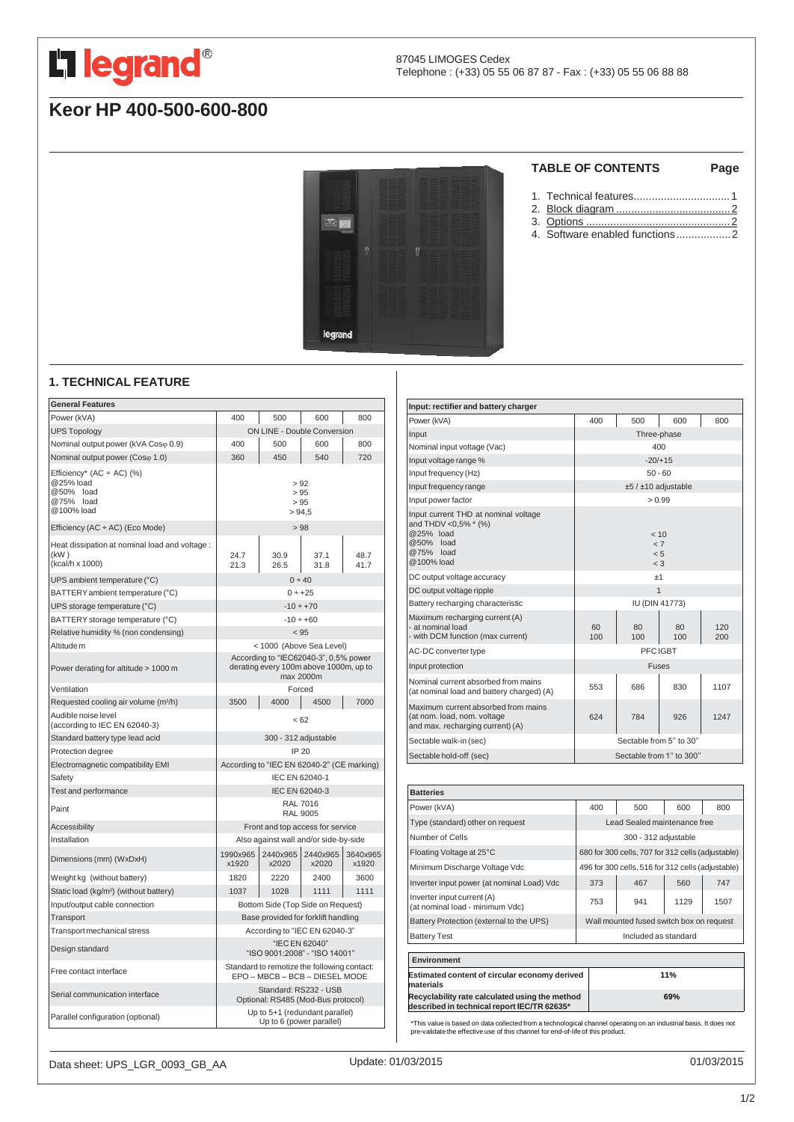

# **Keor HP 400-500-600-800**



## **TABLE OF CONTENTS Page**

- 1. Technical features................................1
- 2. Block diagram [......................................2](#page-1-0)
- 3. Options [................................................2](#page-1-0)
- 4. Software enabled functions..................2

## **1. TECHNICAL FEATURE**

| <b>General Features</b>                                                           |                                                                                              |                   |                                    |                   |
|-----------------------------------------------------------------------------------|----------------------------------------------------------------------------------------------|-------------------|------------------------------------|-------------------|
| Power (kVA)                                                                       | 400                                                                                          | 500               | 600                                | 800               |
| <b>UPS Topology</b>                                                               |                                                                                              |                   | <b>ON LINE - Double Conversion</b> |                   |
| Nominal output power (kVA Coso 0.9)                                               | 400                                                                                          | 500               | 600                                | 800               |
| Nominal output power (Coso 1.0)                                                   | 360                                                                                          | 450               | 540                                | 720               |
| Efficiency* (AC ÷ AC) (%)<br>@25% load<br>@50% load<br>@75%<br>load<br>@100% load | > 92<br>>95<br>> 95<br>> 94.5                                                                |                   |                                    |                   |
| Efficiency (AC ÷ AC) (Eco Mode)                                                   | >98                                                                                          |                   |                                    |                   |
| Heat dissipation at nominal load and voltage :<br>(kW)<br>(kcal/h x 1000)         | 24.7<br>21.3                                                                                 | 30.9<br>26.5      | 37.1<br>31.8                       | 48.7<br>41.7      |
| UPS ambient temperature (°C)                                                      |                                                                                              |                   | 0 ÷ 40                             |                   |
| BATTERY ambient temperature (°C)                                                  | $0 \div +25$                                                                                 |                   |                                    |                   |
| UPS storage temperature (°C)                                                      |                                                                                              |                   | $-10 \div +70$                     |                   |
| BATTERY storage temperature (°C)                                                  |                                                                                              |                   | $-10 \div +60$                     |                   |
| Relative humidity % (non condensing)                                              |                                                                                              |                   | < 95                               |                   |
| Altitude m                                                                        | < 1000 (Above Sea Level)                                                                     |                   |                                    |                   |
| Power derating for altitude > 1000 m                                              | According to "IEC62040-3", 0,5% power<br>derating every 100m above 1000m, up to<br>max 2000m |                   |                                    |                   |
| Ventilation                                                                       |                                                                                              |                   | Forced                             |                   |
| Requested cooling air volume (m <sup>3/h</sup> )                                  | 3500                                                                                         | 4000              | 4500                               | 7000              |
| Audible noise level<br>(according to IEC EN 62040-3)                              | < 62                                                                                         |                   |                                    |                   |
| Standard battery type lead acid                                                   | 300 - 312 adjustable                                                                         |                   |                                    |                   |
| Protection degree                                                                 | IP 20                                                                                        |                   |                                    |                   |
| Electromagnetic compatibility EMI                                                 | According to "IEC EN 62040-2" (CE marking)                                                   |                   |                                    |                   |
| Safety                                                                            | IEC EN 62040-1                                                                               |                   |                                    |                   |
| Test and performance                                                              | IEC EN 62040-3                                                                               |                   |                                    |                   |
| Paint                                                                             | <b>RAL 7016</b><br>RAL 9005                                                                  |                   |                                    |                   |
| <b>Accessibility</b>                                                              | Front and top access for service                                                             |                   |                                    |                   |
| Installation                                                                      | Also against wall and/or side-by-side                                                        |                   |                                    |                   |
| Dimensions (mm) (WxDxH)                                                           | 1990x965<br>x1920                                                                            | 2440x965<br>x2020 | 2440x965<br>x2020                  | 3640x965<br>x1920 |
| Weight kg (without battery)                                                       | 1820                                                                                         | 2220              | 2400                               | 3600              |
| Static load (kg/m <sup>2</sup> ) (without battery)                                | 1037                                                                                         | 1028              | 1111                               | 1111              |
| Input/output cable connection                                                     | Bottom Side (Top Side on Request)                                                            |                   |                                    |                   |
| Transport                                                                         | Base provided for forklift handling                                                          |                   |                                    |                   |
| Transport mechanical stress                                                       | According to "IEC EN 62040-3"                                                                |                   |                                    |                   |
| Design standard                                                                   | "IEC EN 62040"<br>"ISO 9001:2008" - "ISO 14001"                                              |                   |                                    |                   |
| Free contact interface                                                            | Standard to remotize the following contact:<br>EPO - MBCB - BCB - DIESEL MODE                |                   |                                    |                   |
| Serial communication interface                                                    | Standard: RS232 - USB<br>Optional: RS485 (Mod-Bus protocol)                                  |                   |                                    |                   |
| Parallel configuration (optional)                                                 | Up to 5+1 (redundant parallel)<br>Up to 6 (power parallel)                                   |                   |                                    |                   |

| Input: rectifier and battery charger                                                                               |                                     |           |           |            |
|--------------------------------------------------------------------------------------------------------------------|-------------------------------------|-----------|-----------|------------|
| Power (kVA)                                                                                                        | 400                                 | 500       | 600       | 800        |
| Input                                                                                                              | Three-phase                         |           |           |            |
| Nominal input voltage (Vac)                                                                                        | 400                                 |           |           |            |
| Input voltage range %                                                                                              | $-20/+15$                           |           |           |            |
| Input frequency (Hz)                                                                                               | $50 - 60$                           |           |           |            |
| Input frequency range                                                                                              | ±5 / ±10 adjustable                 |           |           |            |
| Input power factor                                                                                                 | > 0.99                              |           |           |            |
| Input current THD at nominal voltage<br>and THDV < 0,5% * (%)<br>@25% load<br>@50% load<br>@75% load<br>@100% load | < 10<br>$\leq 7$<br>< 5<br>$\leq$ 3 |           |           |            |
| DC output voltage accuracy                                                                                         | ±1                                  |           |           |            |
| DC output voltage ripple                                                                                           | $\overline{1}$                      |           |           |            |
| Battery recharging characteristic                                                                                  | <b>IU (DIN 41773)</b>               |           |           |            |
| Maximum recharging current (A)<br>- at nominal load<br>- with DCM function (max current)                           | 60<br>100                           | 80<br>100 | 80<br>100 | 120<br>200 |
| AC-DC converter type                                                                                               | PFC IGBT                            |           |           |            |
| Input protection                                                                                                   | <b>Fuses</b>                        |           |           |            |
| Nominal current absorbed from mains<br>(at nominal load and battery charged) (A)                                   | 553                                 | 686       | 830       | 1107       |
| Maximum current absorbed from mains<br>(at nom. load, nom. voltage<br>and max. recharging current) (A)             | 624                                 | 784       | 926       | 1247       |
| Sectable walk-in (sec)                                                                                             | Sectable from 5" to 30"             |           |           |            |
| Sectable hold-off (sec)                                                                                            | Sectable from 1" to 300"            |           |           |            |
| <b>Rattorias</b>                                                                                                   |                                     |           |           |            |

| <b>Batteries</b>                                                                              |                                                   |                                                   |      |      |
|-----------------------------------------------------------------------------------------------|---------------------------------------------------|---------------------------------------------------|------|------|
| Power (kVA)                                                                                   | 400                                               | 500                                               | 600  | 800  |
| Type (standard) other on request                                                              |                                                   | Lead Sealed maintenance free                      |      |      |
| Number of Cells                                                                               | 300 - 312 adjustable                              |                                                   |      |      |
| Floating Voltage at 25°C                                                                      | 680 for 300 cells, 707 for 312 cells (adjustable) |                                                   |      |      |
| Minimum Discharge Voltage Vdc                                                                 |                                                   | 496 for 300 cells, 516 for 312 cells (adjustable) |      |      |
| Inverter input power (at nominal Load) Vdc                                                    | 373                                               | 467                                               | 560  | 747  |
| Inverter input current (A)<br>(at nominal load - minimum Vdc)                                 | 753                                               | 941                                               | 1129 | 1507 |
| Battery Protection (external to the UPS)                                                      | Wall mounted fused switch box on request          |                                                   |      |      |
| <b>Battery Test</b>                                                                           | Included as standard                              |                                                   |      |      |
|                                                                                               |                                                   |                                                   |      |      |
| Environment                                                                                   |                                                   |                                                   |      |      |
| Estimated content of circular economy derived<br>materials                                    |                                                   |                                                   | 11%  |      |
| Recyclability rate calculated using the method<br>described in technical report IEC/TR 62635* | 69%                                               |                                                   |      |      |
|                                                                                               |                                                   |                                                   |      |      |

\*This value is based on data collected from a technological channel operating on an industrial basis. It does not pre-validate the effective use of this channel for end-of-life of this product.